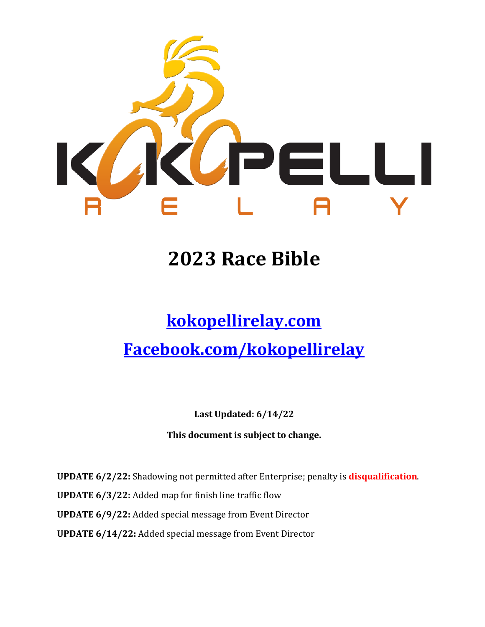

# **2023 Race Bible**

# **[kokopellirelay.com](http://salttosaint.com/)**

# **[Facebook.com/kokopellir](http://www.facebook.com/salttosaint)elay**

**Last Updated: 6/14/22**

**This document is subject to change.** 

**UPDATE 6/2/22:** Shadowing not permitted after Enterprise; penalty is **disqualification**. **UPDATE 6/3/22:** Added map for finish line traffic flow **UPDATE 6/9/22:** Added special message from Event Director **UPDATE 6/14/22:** Added special message from Event Director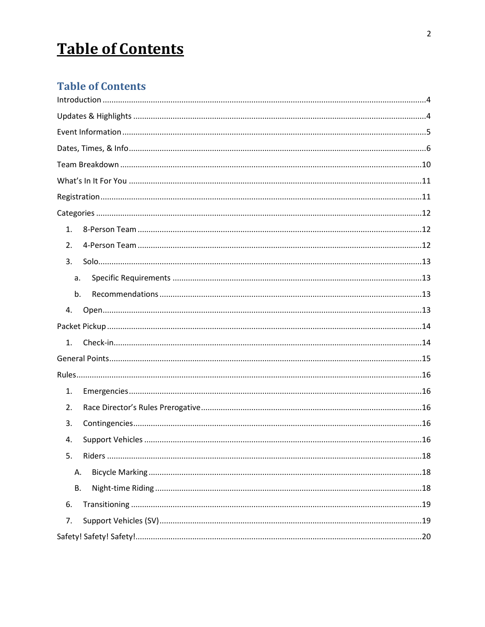# **Table of Contents**

### **Table of Contents**

| 1.        |
|-----------|
| 2.        |
| 3.        |
| a.        |
| b.        |
| 4.        |
|           |
| 1.        |
|           |
|           |
| 1.        |
| 2.        |
| 3.        |
| 4.        |
| 5.        |
| А.        |
| <b>B.</b> |
| 6.        |
| 7.        |
|           |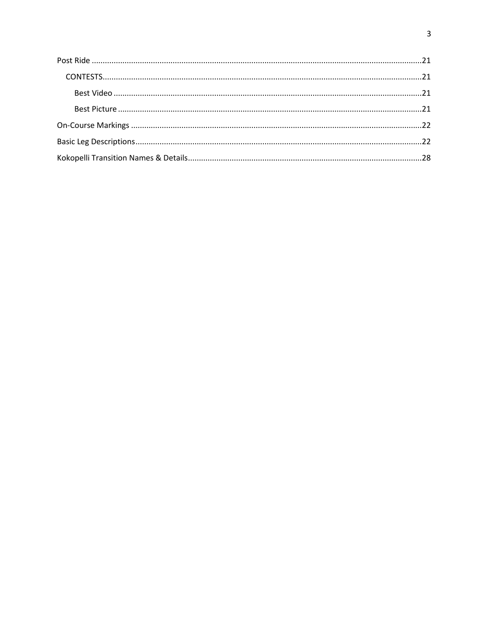<span id="page-2-0"></span>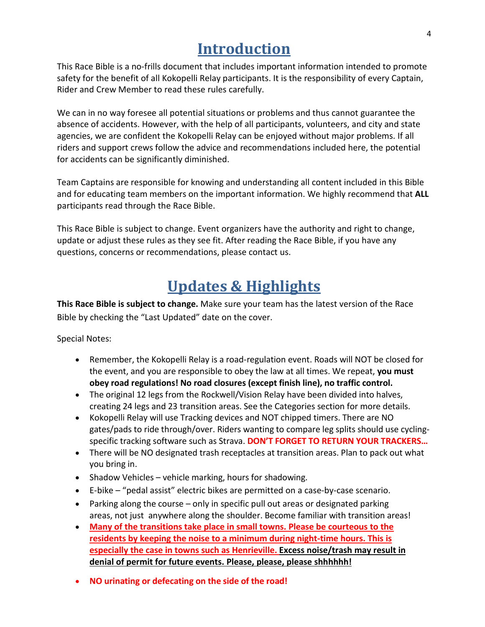### **Introduction**

This Race Bible is a no-frills document that includes important information intended to promote safety for the benefit of all Kokopelli Relay participants. It is the responsibility of every Captain, Rider and Crew Member to read these rules carefully.

We can in no way foresee all potential situations or problems and thus cannot guarantee the absence of accidents. However, with the help of all participants, volunteers, and city and state agencies, we are confident the Kokopelli Relay can be enjoyed without major problems. If all riders and support crews follow the advice and recommendations included here, the potential for accidents can be significantly diminished.

Team Captains are responsible for knowing and understanding all content included in this Bible and for educating team members on the important information. We highly recommend that **ALL**  participants read through the Race Bible.

This Race Bible is subject to change. Event organizers have the authority and right to change, update or adjust these rules as they see fit. After reading the Race Bible, if you have any questions, concerns or recommendations, please contact us.

## **Updates & Highlights**

<span id="page-3-0"></span>**This Race Bible is subject to change.** Make sure your team has the latest version of the Race Bible by checking the "Last Updated" date on the cover.

Special Notes:

- Remember, the Kokopelli Relay is a road-regulation event. Roads will NOT be closed for the event, and you are responsible to obey the law at all times. We repeat, **you must obey road regulations! No road closures (except finish line), no traffic control.**
- The original 12 legs from the Rockwell/Vision Relay have been divided into halves, creating 24 legs and 23 transition areas. See the Categories section for more details.
- Kokopelli Relay will use Tracking devices and NOT chipped timers. There are NO gates/pads to ride through/over. Riders wanting to compare leg splits should use cyclingspecific tracking software such as Strava. **DON'T FORGET TO RETURN YOUR TRACKERS…**
- There will be NO designated trash receptacles at transition areas. Plan to pack out what you bring in.
- Shadow Vehicles vehicle marking, hours for shadowing.
- E-bike "pedal assist" electric bikes are permitted on a case-by-case scenario.
- Parking along the course only in specific pull out areas or designated parking areas, not just anywhere along the shoulder. Become familiar with transition areas!
- **Many of the transitions take place in small towns. Please be courteous to the residents by keeping the noise to a minimum during night-time hours. This is especially the case in towns such as Henrieville. Excess noise/trash may result in denial of permit for future events. Please, please, please shhhhhh!**
- **NO urinating or defecating on the side of the road!**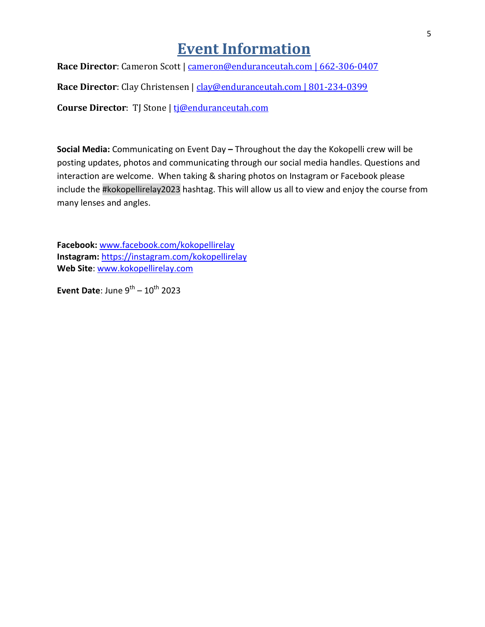### **Event Information**

<span id="page-4-0"></span>**Race Director**: Cameron Scott | [cameron@enduranceutah.com | 662-306-0407](mailto:cameron@enduranceutah.com)

**Race Director**: Clay Christensen | [clay@enduranceutah.com | 801-234-0399](mailto:clay@enduranceutah.com%20%7C%20801-234-0399)

**Course Director**: TJ Stone | [tj@enduranceutah.com](mailto:tj@enduranceutah.com)

**Social Media:** Communicating on Event Day **–** Throughout the day the Kokopelli crew will be posting updates, photos and communicating through our social media handles. Questions and interaction are welcome. When taking & sharing photos on Instagram or Facebook please include the #kokopellirelay2023 hashtag. This will allow us all to view and enjoy the course from many lenses and angles.

**Facebook:** [www.facebook.com/kokopellirelay](http://www.facebook.com/kokopellirelay) **Instagram:** <https://instagram.com/kokopellirelay> **Web Site**: [www.kokopellirelay.com](http://www.kokopellirelay.com/)

**Event Date:** June  $9^{th} - 10^{th}$  2023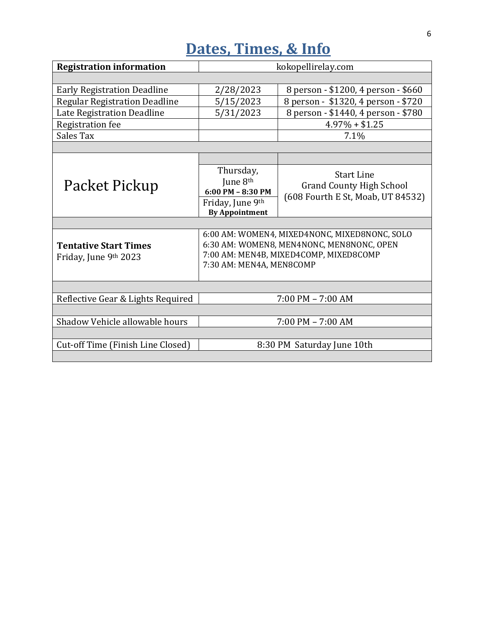# **Dates, Times, & Info**

<span id="page-5-0"></span>

| <b>Registration information</b>                       | kokopellirelay.com                                                                                                                                               |                                                                                           |  |  |  |  |
|-------------------------------------------------------|------------------------------------------------------------------------------------------------------------------------------------------------------------------|-------------------------------------------------------------------------------------------|--|--|--|--|
|                                                       |                                                                                                                                                                  |                                                                                           |  |  |  |  |
| <b>Early Registration Deadline</b>                    | 2/28/2023                                                                                                                                                        | 8 person - \$1200, 4 person - \$660                                                       |  |  |  |  |
| <b>Regular Registration Deadline</b>                  | 5/15/2023                                                                                                                                                        | 8 person - \$1320, 4 person - \$720                                                       |  |  |  |  |
| Late Registration Deadline                            | 5/31/2023                                                                                                                                                        | 8 person - \$1440, 4 person - \$780                                                       |  |  |  |  |
| <b>Registration</b> fee                               |                                                                                                                                                                  | $4.97\% + $1.25$                                                                          |  |  |  |  |
| Sales Tax                                             |                                                                                                                                                                  | 7.1%                                                                                      |  |  |  |  |
|                                                       |                                                                                                                                                                  |                                                                                           |  |  |  |  |
|                                                       |                                                                                                                                                                  |                                                                                           |  |  |  |  |
| Packet Pickup                                         | Thursday,<br>June 8 <sup>th</sup><br>$6:00$ PM - $8:30$ PM                                                                                                       | <b>Start Line</b><br><b>Grand County High School</b><br>(608 Fourth E St, Moab, UT 84532) |  |  |  |  |
|                                                       | Friday, June 9th<br><b>By Appointment</b>                                                                                                                        |                                                                                           |  |  |  |  |
|                                                       |                                                                                                                                                                  |                                                                                           |  |  |  |  |
| <b>Tentative Start Times</b><br>Friday, June 9th 2023 | 6:00 AM: WOMEN4, MIXED4NONC, MIXED8NONC, SOLO<br>6:30 AM: WOMEN8, MEN4NONC, MEN8NONC, OPEN<br>7:00 AM: MEN4B, MIXED4COMP, MIXED8COMP<br>7:30 AM: MEN4A, MEN8COMP |                                                                                           |  |  |  |  |
|                                                       |                                                                                                                                                                  |                                                                                           |  |  |  |  |
| Reflective Gear & Lights Required                     | $7:00$ PM $-7:00$ AM                                                                                                                                             |                                                                                           |  |  |  |  |
|                                                       |                                                                                                                                                                  |                                                                                           |  |  |  |  |
| Shadow Vehicle allowable hours                        | $7:00$ PM $- 7:00$ AM                                                                                                                                            |                                                                                           |  |  |  |  |
|                                                       |                                                                                                                                                                  |                                                                                           |  |  |  |  |
| Cut-off Time (Finish Line Closed)                     | 8:30 PM Saturday June 10th                                                                                                                                       |                                                                                           |  |  |  |  |
|                                                       |                                                                                                                                                                  |                                                                                           |  |  |  |  |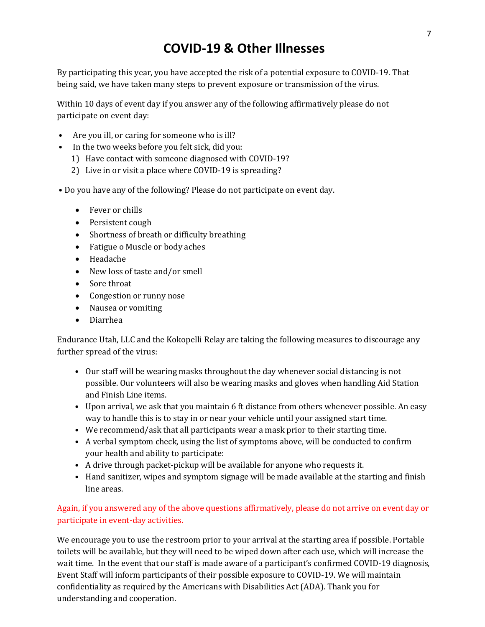### **COVID-19 & Other Illnesses**

By participating this year, you have accepted the risk of a potential exposure to COVID-19. That being said, we have taken many steps to prevent exposure or transmission of the virus.

Within 10 days of event day if you answer any of the following affirmatively please do not participate on event day:

- Are you ill, or caring for someone who is ill?
- In the two weeks before you felt sick, did you:
	- 1) Have contact with someone diagnosed with COVID-19?
	- 2) Live in or visit a place where COVID-19 is spreading?
- Do you have any of the following? Please do not participate on event day.
	- Fever or chills
	- Persistent cough
	- Shortness of breath or difficulty breathing
	- Fatigue o Muscle or body aches
	- Headache
	- New loss of taste and/or smell
	- Sore throat
	- Congestion or runny nose
	- Nausea or vomiting
	- Diarrhea

Endurance Utah, LLC and the Kokopelli Relay are taking the following measures to discourage any further spread of the virus:

- Our staff will be wearing masks throughout the day whenever social distancing is not possible. Our volunteers will also be wearing masks and gloves when handling Aid Station and Finish Line items.
- Upon arrival, we ask that you maintain 6 ft distance from others whenever possible. An easy way to handle this is to stay in or near your vehicle until your assigned start time.
- We recommend/ask that all participants wear a mask prior to their starting time.
- A verbal symptom check, using the list of symptoms above, will be conducted to confirm your health and ability to participate:
- A drive through packet-pickup will be available for anyone who requests it.
- Hand sanitizer, wipes and symptom signage will be made available at the starting and finish line areas.

#### Again, if you answered any of the above questions affirmatively, please do not arrive on event day or participate in event-day activities.

We encourage you to use the restroom prior to your arrival at the starting area if possible. Portable toilets will be available, but they will need to be wiped down after each use, which will increase the wait time. In the event that our staff is made aware of a participant's confirmed COVID-19 diagnosis, Event Staff will inform participants of their possible exposure to COVID-19. We will maintain confidentiality as required by the Americans with Disabilities Act (ADA). Thank you for understanding and cooperation.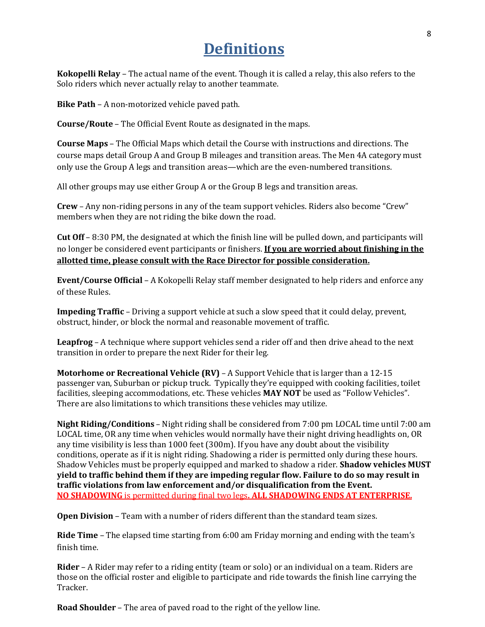### **Definitions**

**Kokopelli Relay** – The actual name of the event. Though it is called a relay, this also refers to the Solo riders which never actually relay to another teammate.

**Bike Path** – A non-motorized vehicle paved path.

**Course/Route** – The Official Event Route as designated in the maps.

**Course Maps** – The Official Maps which detail the Course with instructions and directions. The course maps detail Group A and Group B mileages and transition areas. The Men 4A category must only use the Group A legs and transition areas—which are the even-numbered transitions.

All other groups may use either Group A or the Group B legs and transition areas.

**Crew** – Any non-riding persons in any of the team support vehicles. Riders also become "Crew" members when they are not riding the bike down the road.

**Cut Off** – 8:30 PM, the designated at which the finish line will be pulled down, and participants will no longer be considered event participants or finishers. **If you are worried about finishing in the allotted time, please consult with the Race Director for possible consideration.**

**Event/Course Official** – A Kokopelli Relay staff member designated to help riders and enforce any of these Rules.

**Impeding Traffic** – Driving a support vehicle at such a slow speed that it could delay, prevent, obstruct, hinder, or block the normal and reasonable movement of traffic.

**Leapfrog** – A technique where support vehicles send a rider off and then drive ahead to the next transition in order to prepare the next Rider for their leg.

**Motorhome or Recreational Vehicle (RV)** – A Support Vehicle that is larger than a 12-15 passenger van, Suburban or pickup truck. Typically they're equipped with cooking facilities, toilet facilities, sleeping accommodations, etc. These vehicles **MAY NOT** be used as "Follow Vehicles". There are also limitations to which transitions these vehicles may utilize.

**Night Riding/Conditions** – Night riding shall be considered from 7:00 pm LOCAL time until 7:00 am LOCAL time, OR any time when vehicles would normally have their night driving headlights on, OR any time visibility is less than 1000 feet (300m). If you have any doubt about the visibility conditions, operate as if it is night riding. Shadowing a rider is permitted only during these hours. Shadow Vehicles must be properly equipped and marked to shadow a rider. **Shadow vehicles MUST yield to traffic behind them if they are impeding regular flow. Failure to do so may result in traffic violations from law enforcement and/or disqualification from the Event. NO SHADOWING** is permitted during final two legs**. ALL SHADOWING ENDS AT ENTERPRISE.**

**Open Division** – Team with a number of riders different than the standard team sizes.

**Ride Time** – The elapsed time starting from 6:00 am Friday morning and ending with the team's finish time.

**Rider** – A Rider may refer to a riding entity (team or solo) or an individual on a team. Riders are those on the official roster and eligible to participate and ride towards the finish line carrying the Tracker.

**Road Shoulder** – The area of paved road to the right of the yellow line.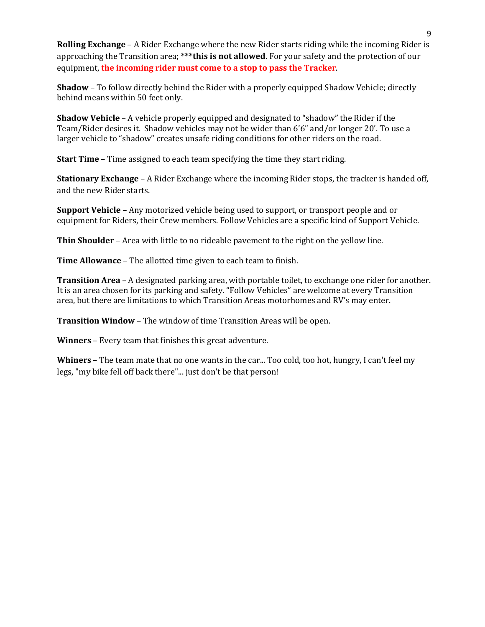**Rolling Exchange** – A Rider Exchange where the new Rider starts riding while the incoming Rider is approaching the Transition area; **\*\*\*this is not allowed**. For your safety and the protection of our equipment, **the incoming rider must come to a stop to pass the Tracker**.

**Shadow** – To follow directly behind the Rider with a properly equipped Shadow Vehicle; directly behind means within 50 feet only.

**Shadow Vehicle** – A vehicle properly equipped and designated to "shadow" the Rider if the Team/Rider desires it. Shadow vehicles may not be wider than 6'6" and/or longer 20'. To use a larger vehicle to "shadow" creates unsafe riding conditions for other riders on the road.

**Start Time** – Time assigned to each team specifying the time they start riding.

**Stationary Exchange** – A Rider Exchange where the incoming Rider stops, the tracker is handed off, and the new Rider starts.

**Support Vehicle –** Any motorized vehicle being used to support, or transport people and or equipment for Riders, their Crew members. Follow Vehicles are a specific kind of Support Vehicle.

**Thin Shoulder** – Area with little to no rideable pavement to the right on the yellow line.

**Time Allowance** – The allotted time given to each team to finish.

**Transition Area** – A designated parking area, with portable toilet, to exchange one rider for another. It is an area chosen for its parking and safety. "Follow Vehicles" are welcome at every Transition area, but there are limitations to which Transition Areas motorhomes and RV's may enter.

**Transition Window** – The window of time Transition Areas will be open.

**Winners** – Every team that finishes this great adventure.

**Whiners** – The team mate that no one wants in the car... Too cold, too hot, hungry, I can't feel my legs, "my bike fell off back there"... just don't be that person!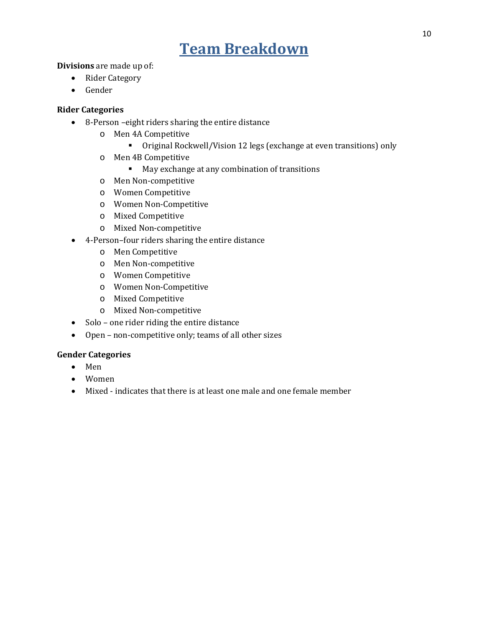### **Team Breakdown**

<span id="page-9-0"></span>**Divisions** are made up of:

- Rider Category
- Gender

#### **Rider Categories**

- 8-Person –eight riders sharing the entire distance
	- o Men 4A Competitive
		- Original Rockwell/Vision 12 legs (exchange at even transitions) only
	- o Men 4B Competitive
		- May exchange at any combination of transitions
	- o Men Non-competitive
	- o Women Competitive
	- o Women Non-Competitive
	- o Mixed Competitive
	- o Mixed Non-competitive
- 4-Person–four riders sharing the entire distance
	- o Men Competitive
	- o Men Non-competitive
	- o Women Competitive
	- o Women Non-Competitive
	- o Mixed Competitive
	- o Mixed Non-competitive
- Solo one rider riding the entire distance
- Open non-competitive only; teams of all other sizes

#### **Gender Categories**

- Men
- Women
- Mixed indicates that there is at least one male and one female member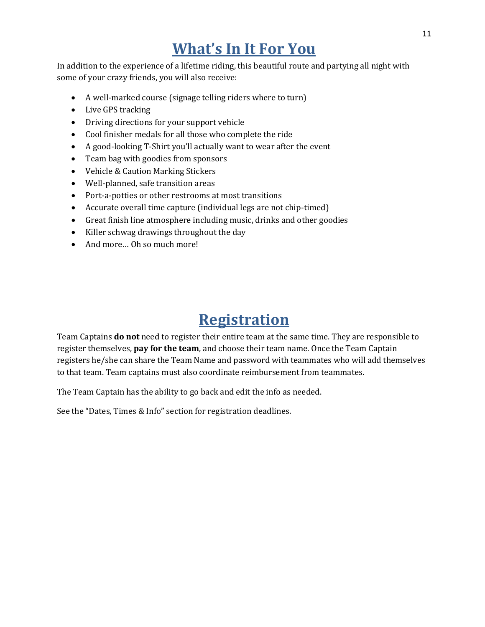## **What's In It For You**

<span id="page-10-0"></span>In addition to the experience of a lifetime riding, this beautiful route and partying all night with some of your crazy friends, you will also receive:

- A well-marked course (signage telling riders where to turn)
- Live GPS tracking
- Driving directions for your support vehicle
- Cool finisher medals for all those who complete the ride
- A good-looking T-Shirt you'll actually want to wear after the event
- Team bag with goodies from sponsors
- Vehicle & Caution Marking Stickers
- Well-planned, safe transition areas
- Port-a-potties or other restrooms at most transitions
- Accurate overall time capture (individual legs are not chip-timed)
- Great finish line atmosphere including music, drinks and other goodies
- Killer schwag drawings throughout the day
- And more... Oh so much more!

### **Registration**

<span id="page-10-1"></span>Team Captains **do not** need to register their entire team at the same time. They are responsible to register themselves, **pay for the team**, and choose their team name. Once the Team Captain registers he/she can share the Team Name and password with teammates who will add themselves to that team. Team captains must also coordinate reimbursement from teammates.

The Team Captain has the ability to go back and edit the info as needed.

See the "Dates, Times & Info" section for registration deadlines.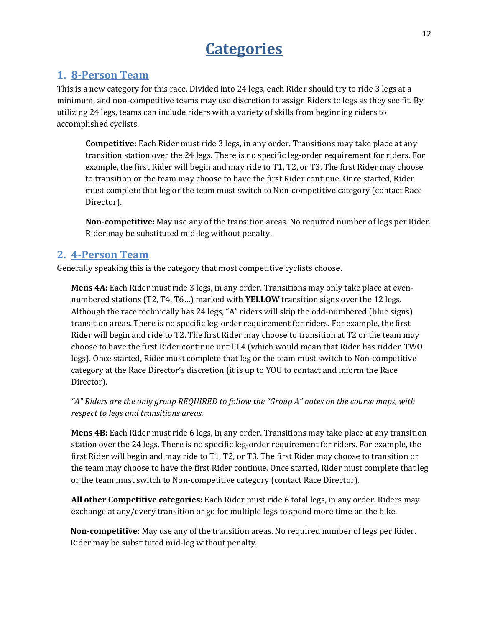### **Categories**

### <span id="page-11-1"></span><span id="page-11-0"></span>**1. 8-Person Team**

This is a new category for this race. Divided into 24 legs, each Rider should try to ride 3 legs at a minimum, and non-competitive teams may use discretion to assign Riders to legs as they see fit. By utilizing 24 legs, teams can include riders with a variety of skills from beginning riders to accomplished cyclists.

**Competitive:** Each Rider must ride 3 legs, in any order. Transitions may take place at any transition station over the 24 legs. There is no specific leg-order requirement for riders. For example, the first Rider will begin and may ride to T1, T2, or T3. The first Rider may choose to transition or the team may choose to have the first Rider continue. Once started, Rider must complete that leg or the team must switch to Non-competitive category (contact Race Director).

**Non-competitive:** May use any of the transition areas. No required number of legs per Rider. Rider may be substituted mid-leg without penalty.

### <span id="page-11-2"></span>**2. 4-Person Team**

Generally speaking this is the category that most competitive cyclists choose.

**Mens 4A:** Each Rider must ride 3 legs, in any order. Transitions may only take place at evennumbered stations (T2, T4, T6…) marked with **YELLOW** transition signs over the 12 legs. Although the race technically has 24 legs, "A" riders will skip the odd-numbered (blue signs) transition areas. There is no specific leg-order requirement for riders. For example, the first Rider will begin and ride to T2. The first Rider may choose to transition at T2 or the team may choose to have the first Rider continue until T4 (which would mean that Rider has ridden TWO legs). Once started, Rider must complete that leg or the team must switch to Non-competitive category at the Race Director's discretion (it is up to YOU to contact and inform the Race Director).

*"A" Riders are the only group REQUIRED to follow the "Group A" notes on the course maps, with respect to legs and transitions areas.*

**Mens 4B:** Each Rider must ride 6 legs, in any order. Transitions may take place at any transition station over the 24 legs. There is no specific leg-order requirement for riders. For example, the first Rider will begin and may ride to T1, T2, or T3. The first Rider may choose to transition or the team may choose to have the first Rider continue. Once started, Rider must complete that leg or the team must switch to Non-competitive category (contact Race Director).

**All other Competitive categories:** Each Rider must ride 6 total legs, in any order. Riders may exchange at any/every transition or go for multiple legs to spend more time on the bike.

**Non-competitive:** May use any of the transition areas. No required number of legs per Rider. Rider may be substituted mid-leg without penalty.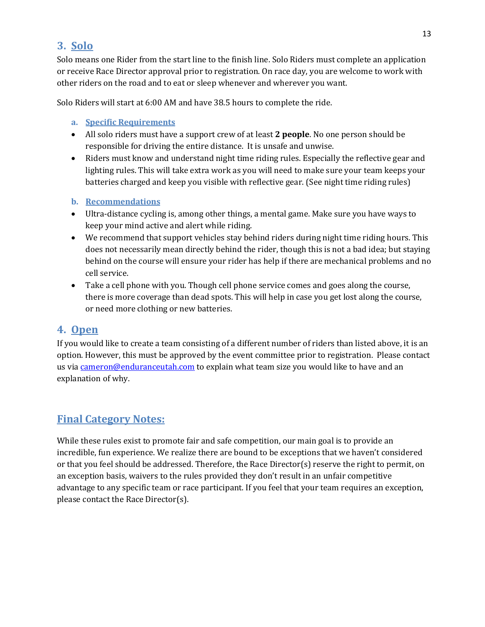### <span id="page-12-0"></span>**3. Solo**

Solo means one Rider from the start line to the finish line. Solo Riders must complete an application or receive Race Director approval prior to registration. On race day, you are welcome to work with other riders on the road and to eat or sleep whenever and wherever you want.

Solo Riders will start at 6:00 AM and have 38.5 hours to complete the ride.

- <span id="page-12-1"></span>**a. Specific Requirements**
- All solo riders must have a support crew of at least **2 people**. No one person should be responsible for driving the entire distance. It is unsafe and unwise.
- Riders must know and understand night time riding rules. Especially the reflective gear and lighting rules. This will take extra work as you will need to make sure your team keeps your batteries charged and keep you visible with reflective gear. (See night time riding rules)
- <span id="page-12-2"></span>**b. Recommendations**
- Ultra-distance cycling is, among other things, a mental game. Make sure you have ways to keep your mind active and alert while riding.
- We recommend that support vehicles stay behind riders during night time riding hours. This does not necessarily mean directly behind the rider, though this is not a bad idea; but staying behind on the course will ensure your rider has help if there are mechanical problems and no cell service.
- Take a cell phone with you. Though cell phone service comes and goes along the course, there is more coverage than dead spots. This will help in case you get lost along the course, or need more clothing or new batteries.

### <span id="page-12-3"></span>**4. Open**

If you would like to create a team consisting of a different number of riders than listed above, it is an option. However, this must be approved by the event committee prior to registration. Please contact us vi[a cameron@enduranceutah.com](mailto:cameron@enduranceutah.com) to explain what team size you would like to have and an explanation of why.

### **Final Category Notes:**

While these rules exist to promote fair and safe competition, our main goal is to provide an incredible, fun experience. We realize there are bound to be exceptions that we haven't considered or that you feel should be addressed. Therefore, the Race Director(s) reserve the right to permit, on an exception basis, waivers to the rules provided they don't result in an unfair competitive advantage to any specific team or race participant. If you feel that your team requires an exception, please contact the Race Director(s).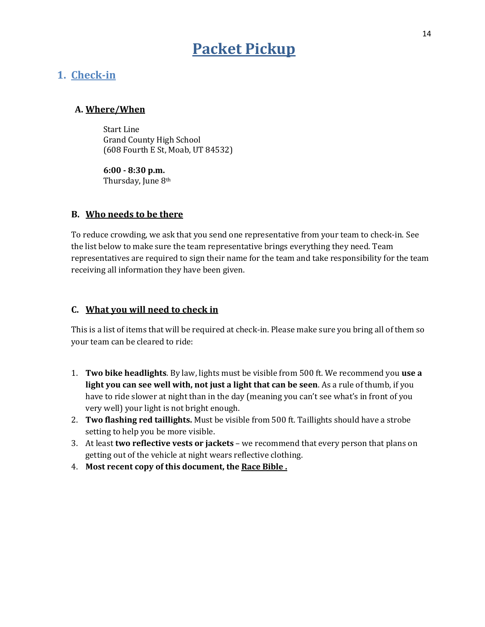### **Packet Pickup**

### <span id="page-13-1"></span><span id="page-13-0"></span>**1. Check-in**

#### **A. Where/When**

Start Line Grand County High School (608 Fourth E St, Moab, UT 84532)

**6:00 - 8:30 p.m.** Thursday, June 8th

#### **B. Who needs to be there**

To reduce crowding, we ask that you send one representative from your team to check-in. See the list below to make sure the team representative brings everything they need. Team representatives are required to sign their name for the team and take responsibility for the team receiving all information they have been given.

#### **C. What you will need to check in**

This is a list of items that will be required at check-in. Please make sure you bring all of them so your team can be cleared to ride:

- 1. **Two bike headlights**. By law, lights must be visible from 500 ft. We recommend you **use a light you can see well with, not just a light that can be seen**. As a rule of thumb, if you have to ride slower at night than in the day (meaning you can't see what's in front of you very well) your light is not bright enough.
- 2. **Two flashing red taillights.** Must be visible from 500 ft. Taillights should have a strobe setting to help you be more visible.
- 3. At least **two reflective vests or jackets** we recommend that every person that plans on getting out of the vehicle at night wears reflective clothing.
- 4. **Most recent copy of this document, the Race Bible .**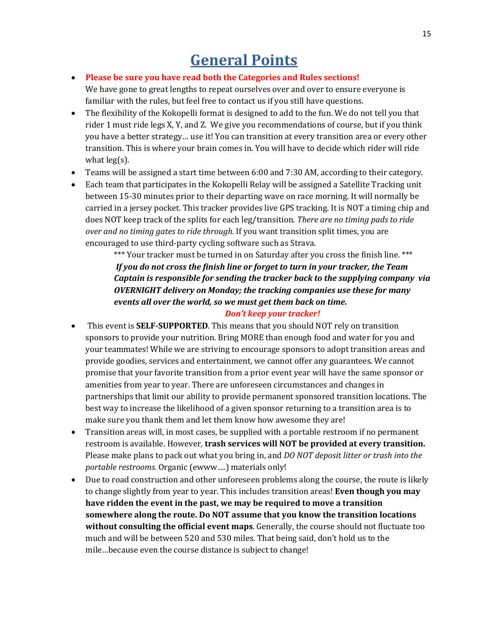### **General Points**

#### <span id="page-14-0"></span>• **Please be sure you have read both the Categories and Rules sections!**

We have gone to great lengths to repeat ourselves over and over to ensure everyone is familiar with the rules, but feel free to contact us if you still have questions.

- The flexibility of the Kokopelli format is designed to add to the fun. We do not tell you that rider 1 must ride legs X, Y, and Z. We give you recommendations of course, but if you think you have a better strategy… use it! You can transition at every transition area or every other transition. This is where your brain comes in. You will have to decide which rider will ride what leg(s).
- Teams will be assigned a start time between 6:00 and 7:30 AM, according to their category.
- Each team that participates in the Kokopelli Relay will be assigned a Satellite Tracking unit between 15-30 minutes prior to their departing wave on race morning. It will normally be carried in a jersey pocket. This tracker provides live GPS tracking. It is NOT a timing chip and does NOT keep track of the splits for each leg/transition. *There are no timing pads to ride over and no timing gates to ride through.* If you want transition split times, you are encouraged to use third-party cycling software such as Strava.

\*\*\* Your tracker must be turned in on Saturday after you cross the finish line. \*\*\* *If you do not cross the finish line or forget to turn in your tracker, the Team Captain is responsible for sending the tracker back to the supplying company via OVERNIGHT delivery on Monday; the tracking companies use these for many events all over the world, so we must get them back on time.* 

#### *Don't keep your tracker!*

- This event is **SELF-SUPPORTED**. This means that you should NOT rely on transition sponsors to provide your nutrition. Bring MORE than enough food and water for you and your teammates! While we are striving to encourage sponsors to adopt transition areas and provide goodies, services and entertainment, we cannot offer any guarantees. We cannot promise that your favorite transition from a prior event year will have the same sponsor or amenities from year to year. There are unforeseen circumstances and changes in partnerships that limit our ability to provide permanent sponsored transition locations. The best way to increase the likelihood of a given sponsor returning to a transition area is to make sure you thank them and let them know how awesome they are!
- Transition areas will, in most cases, be supplied with a portable restroom if no permanent restroom is available. However, **trash services will NOT be provided at every transition.** Please make plans to pack out what you bring in, and *DO NOT deposit litter or trash into the portable restrooms.* Organic (ewww….) materials only!
- Due to road construction and other unforeseen problems along the course, the route is likely to change slightly from year to year. This includes transition areas! **Even though you may have ridden the event in the past, we may be required to move a transition somewhere along the route. Do NOT assume that you know the transition locations without consulting the official event maps**. Generally, the course should not fluctuate too much and will be between 520 and 530 miles. That being said, don't hold us to the mile…because even the course distance is subject to change!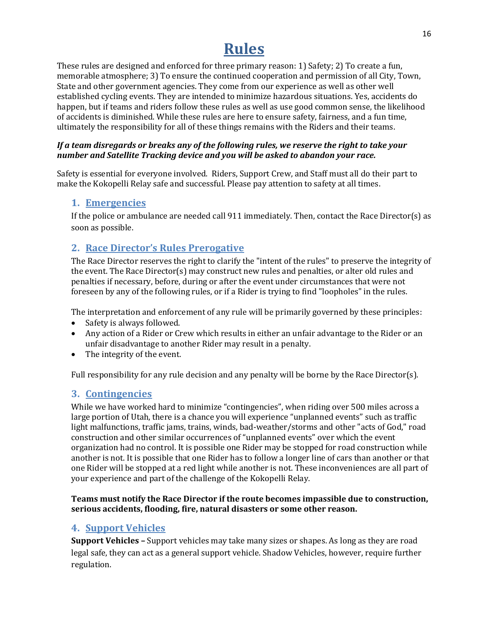### **Rules**

<span id="page-15-0"></span>These rules are designed and enforced for three primary reason: 1) Safety; 2) To create a fun, memorable atmosphere; 3) To ensure the continued cooperation and permission of all City, Town, State and other government agencies. They come from our experience as well as other well established cycling events. They are intended to minimize hazardous situations. Yes, accidents do happen, but if teams and riders follow these rules as well as use good common sense, the likelihood of accidents is diminished. While these rules are here to ensure safety, fairness, and a fun time, ultimately the responsibility for all of these things remains with the Riders and their teams.

#### *If a team disregards or breaks any of the following rules, we reserve the right to take your number and Satellite Tracking device and you will be asked to abandon your race.*

Safety is essential for everyone involved. Riders, Support Crew, and Staff must all do their part to make the Kokopelli Relay safe and successful. Please pay attention to safety at all times.

#### <span id="page-15-1"></span>**1. Emergencies**

If the police or ambulance are needed call 911 immediately. Then, contact the Race Director(s) as soon as possible.

### <span id="page-15-2"></span>**2. Race Director's Rules Prerogative**

The Race Director reserves the right to clarify the "intent of the rules" to preserve the integrity of the event. The Race Director(s) may construct new rules and penalties, or alter old rules and penalties if necessary, before, during or after the event under circumstances that were not foreseen by any of the following rules, or if a Rider is trying to find "loopholes" in the rules.

The interpretation and enforcement of any rule will be primarily governed by these principles:

- Safety is always followed.
- Any action of a Rider or Crew which results in either an unfair advantage to the Rider or an unfair disadvantage to another Rider may result in a penalty.
- The integrity of the event.

Full responsibility for any rule decision and any penalty will be borne by the Race Director(s).

### <span id="page-15-3"></span>**3. Contingencies**

While we have worked hard to minimize "contingencies", when riding over 500 miles across a large portion of Utah, there is a chance you will experience "unplanned events" such as traffic light malfunctions, traffic jams, trains, winds, bad-weather/storms and other "acts of God," road construction and other similar occurrences of "unplanned events" over which the event organization had no control. It is possible one Rider may be stopped for road construction while another is not. It is possible that one Rider has to follow a longer line of cars than another or that one Rider will be stopped at a red light while another is not. These inconveniences are all part of your experience and part of the challenge of the Kokopelli Relay.

#### **Teams must notify the Race Director if the route becomes impassible due to construction, serious accidents, flooding, fire, natural disasters or some other reason.**

### <span id="page-15-4"></span>**4. Support Vehicles**

**Support Vehicles –** Support vehicles may take many sizes or shapes. As long as they are road legal safe, they can act as a general support vehicle. Shadow Vehicles, however, require further regulation.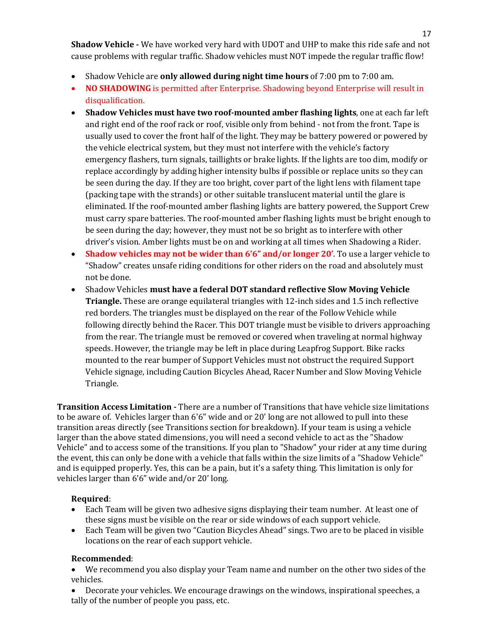**Shadow Vehicle -** We have worked very hard with UDOT and UHP to make this ride safe and not cause problems with regular traffic. Shadow vehicles must NOT impede the regular traffic flow!

- Shadow Vehicle are **only allowed during night time hours** of 7:00 pm to 7:00 am.
- **NO SHADOWING** is permitted after Enterprise. Shadowing beyond Enterprise will result in disqualification.
- **Shadow Vehicles must have two roof-mounted amber flashing lights**, one at each far left and right end of the roof rack or roof, visible only from behind - not from the front. Tape is usually used to cover the front half of the light. They may be battery powered or powered by the vehicle electrical system, but they must not interfere with the vehicle's factory emergency flashers, turn signals, taillights or brake lights. If the lights are too dim, modify or replace accordingly by adding higher intensity bulbs if possible or replace units so they can be seen during the day. If they are too bright, cover part of the light lens with filament tape (packing tape with the strands) or other suitable translucent material until the glare is eliminated. If the roof-mounted amber flashing lights are battery powered, the Support Crew must carry spare batteries. The roof-mounted amber flashing lights must be bright enough to be seen during the day; however, they must not be so bright as to interfere with other driver's vision. Amber lights must be on and working at all times when Shadowing a Rider.
- **Shadow vehicles may not be wider than 6'6" and/or longer 20'**. To use a larger vehicle to "Shadow" creates unsafe riding conditions for other riders on the road and absolutely must not be done.
- Shadow Vehicles **must have a federal DOT standard reflective Slow Moving Vehicle Triangle.** These are orange equilateral triangles with 12-inch sides and 1.5 inch reflective red borders. The triangles must be displayed on the rear of the Follow Vehicle while following directly behind the Racer. This DOT triangle must be visible to drivers approaching from the rear. The triangle must be removed or covered when traveling at normal highway speeds. However, the triangle may be left in place during Leapfrog Support. Bike racks mounted to the rear bumper of Support Vehicles must not obstruct the required Support Vehicle signage, including Caution Bicycles Ahead, Racer Number and Slow Moving Vehicle Triangle.

**Transition Access Limitation -** There are a number of Transitions that have vehicle size limitations to be aware of. Vehicles larger than 6'6" wide and or 20' long are not allowed to pull into these transition areas directly (see Transitions section for breakdown). If your team is using a vehicle larger than the above stated dimensions, you will need a second vehicle to act as the "Shadow Vehicle" and to access some of the transitions. If you plan to "Shadow" your rider at any time during the event, this can only be done with a vehicle that falls within the size limits of a "Shadow Vehicle" and is equipped properly. Yes, this can be a pain, but it's a safety thing. This limitation is only for vehicles larger than 6'6" wide and/or 20' long.

#### **Required**:

- Each Team will be given two adhesive signs displaying their team number. At least one of these signs must be visible on the rear or side windows of each support vehicle.
- Each Team will be given two "Caution Bicycles Ahead" sings. Two are to be placed in visible locations on the rear of each support vehicle.

#### **Recommended**:

• We recommend you also display your Team name and number on the other two sides of the vehicles.

• Decorate your vehicles. We encourage drawings on the windows, inspirational speeches, a tally of the number of people you pass, etc.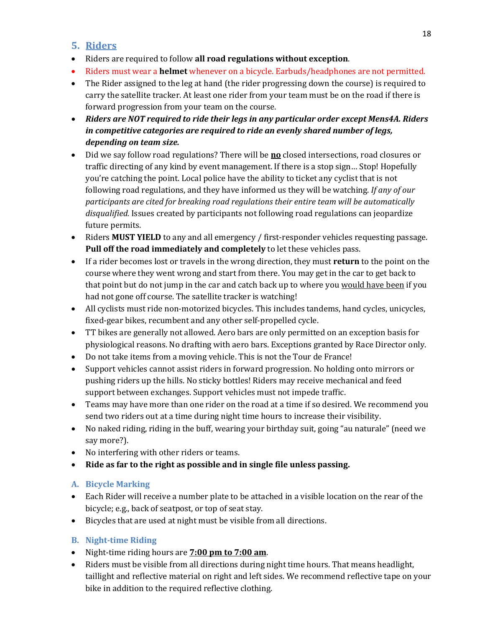### <span id="page-17-0"></span>**5. Riders**

- Riders are required to follow **all road regulations without exception**.
- Riders must wear a **helmet** whenever on a bicycle. Earbuds/headphones are not permitted.
- The Rider assigned to the leg at hand (the rider progressing down the course) is required to carry the satellite tracker. At least one rider from your team must be on the road if there is forward progression from your team on the course.
- *Riders are NOT required to ride their legs in any particular order except Mens4A. Riders in competitive categories are required to ride an evenly shared number of legs, depending on team size.*
- Did we say follow road regulations? There will be **no** closed intersections, road closures or traffic directing of any kind by event management. If there is a stop sign… Stop! Hopefully you're catching the point. Local police have the ability to ticket any cyclist that is not following road regulations, and they have informed us they will be watching. *If any of our participants are cited for breaking road regulations their entire team will be automatically disqualified.* Issues created by participants not following road regulations can jeopardize future permits.
- Riders **MUST YIELD** to any and all emergency / first-responder vehicles requesting passage. **Pull off the road immediately and completely** to let these vehicles pass.
- If a rider becomes lost or travels in the wrong direction, they must **return** to the point on the course where they went wrong and start from there. You may get in the car to get back to that point but do not jump in the car and catch back up to where you would have been if you had not gone off course. The satellite tracker is watching!
- All cyclists must ride non-motorized bicycles. This includes tandems, hand cycles, unicycles, fixed-gear bikes, recumbent and any other self-propelled cycle.
- TT bikes are generally not allowed. Aero bars are only permitted on an exception basis for physiological reasons. No drafting with aero bars. Exceptions granted by Race Director only.
- Do not take items from a moving vehicle. This is not the Tour de France!
- Support vehicles cannot assist riders in forward progression. No holding onto mirrors or pushing riders up the hills. No sticky bottles! Riders may receive mechanical and feed support between exchanges. Support vehicles must not impede traffic.
- Teams may have more than one rider on the road at a time if so desired. We recommend you send two riders out at a time during night time hours to increase their visibility.
- No naked riding, riding in the buff, wearing your birthday suit, going "au naturale" (need we say more?).
- No interfering with other riders or teams.
- **Ride as far to the right as possible and in single file unless passing.**

#### <span id="page-17-1"></span>**A. Bicycle Marking**

- Each Rider will receive a number plate to be attached in a visible location on the rear of the bicycle; e.g., back of seatpost, or top of seat stay.
- Bicycles that are used at night must be visible from all directions.

#### <span id="page-17-2"></span>**B. Night-time Riding**

- Night-time riding hours are **7:00 pm to 7:00 am**.
- Riders must be visible from all directions during night time hours. That means headlight, taillight and reflective material on right and left sides. We recommend reflective tape on your bike in addition to the required reflective clothing.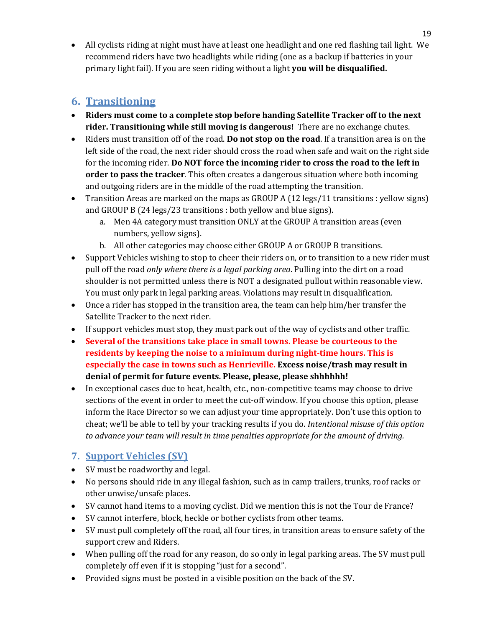• All cyclists riding at night must have at least one headlight and one red flashing tail light. We recommend riders have two headlights while riding (one as a backup if batteries in your primary light fail). If you are seen riding without a light **you will be disqualified.**

### <span id="page-18-0"></span>**6. Transitioning**

- **Riders must come to a complete stop before handing Satellite Tracker off to the next rider. Transitioning while still moving is dangerous!** There are no exchange chutes.
- Riders must transition off of the road. **Do not stop on the road**. If a transition area is on the left side of the road, the next rider should cross the road when safe and wait on the right side for the incoming rider. **Do NOT force the incoming rider to cross the road to the left in order to pass the tracker**. This often creates a dangerous situation where both incoming and outgoing riders are in the middle of the road attempting the transition.
- Transition Areas are marked on the maps as GROUP A (12 legs/11 transitions : yellow signs) and GROUP B (24 legs/23 transitions : both yellow and blue signs).
	- a. Men 4A category must transition ONLY at the GROUP A transition areas (even numbers, yellow signs).
	- b. All other categories may choose either GROUP A or GROUP B transitions.
- Support Vehicles wishing to stop to cheer their riders on, or to transition to a new rider must pull off the road *only where there is a legal parking area*. Pulling into the dirt on a road shoulder is not permitted unless there is NOT a designated pullout within reasonable view. You must only park in legal parking areas. Violations may result in disqualification.
- Once a rider has stopped in the transition area, the team can help him/her transfer the Satellite Tracker to the next rider.
- If support vehicles must stop, they must park out of the way of cyclists and other traffic.
- **Several of the transitions take place in small towns. Please be courteous to the residents by keeping the noise to a minimum during night-time hours. This is especially the case in towns such as Henrieville. Excess noise/trash may result in denial of permit for future events. Please, please, please shhhhhh!**
- In exceptional cases due to heat, health, etc., non-competitive teams may choose to drive sections of the event in order to meet the cut-off window. If you choose this option, please inform the Race Director so we can adjust your time appropriately. Don't use this option to cheat; we'll be able to tell by your tracking results if you do. *Intentional misuse of this option to advance your team will result in time penalties appropriate for the amount of driving.*

### <span id="page-18-1"></span>**7. Support Vehicles (SV)**

- SV must be roadworthy and legal.
- No persons should ride in any illegal fashion, such as in camp trailers, trunks, roof racks or other unwise/unsafe places.
- SV cannot hand items to a moving cyclist. Did we mention this is not the Tour de France?
- SV cannot interfere, block, heckle or bother cyclists from other teams.
- SV must pull completely off the road, all four tires, in transition areas to ensure safety of the support crew and Riders.
- When pulling off the road for any reason, do so only in legal parking areas. The SV must pull completely off even if it is stopping "just for a second".
- Provided signs must be posted in a visible position on the back of the SV.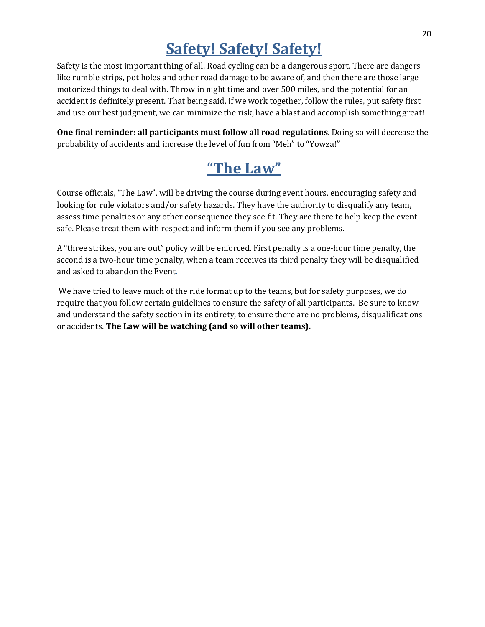### **Safety! Safety! Safety!**

<span id="page-19-0"></span>Safety is the most important thing of all. Road cycling can be a dangerous sport. There are dangers like rumble strips, pot holes and other road damage to be aware of, and then there are those large motorized things to deal with. Throw in night time and over 500 miles, and the potential for an accident is definitely present. That being said, if we work together, follow the rules, put safety first and use our best judgment, we can minimize the risk, have a blast and accomplish something great!

**One final reminder: all participants must follow all road regulations**. Doing so will decrease the probability of accidents and increase the level of fun from "Meh" to "Yowza!"

# **"The Law"**

Course officials, "The Law", will be driving the course during event hours, encouraging safety and looking for rule violators and/or safety hazards. They have the authority to disqualify any team, assess time penalties or any other consequence they see fit. They are there to help keep the event safe. Please treat them with respect and inform them if you see any problems.

A "three strikes, you are out" policy will be enforced. First penalty is a one-hour time penalty, the second is a two-hour time penalty, when a team receives its third penalty they will be disqualified and asked to abandon the Event.

<span id="page-19-1"></span>We have tried to leave much of the ride format up to the teams, but for safety purposes, we do require that you follow certain guidelines to ensure the safety of all participants. Be sure to know and understand the safety section in its entirety, to ensure there are no problems, disqualifications or accidents. **The Law will be watching (and so will other teams).**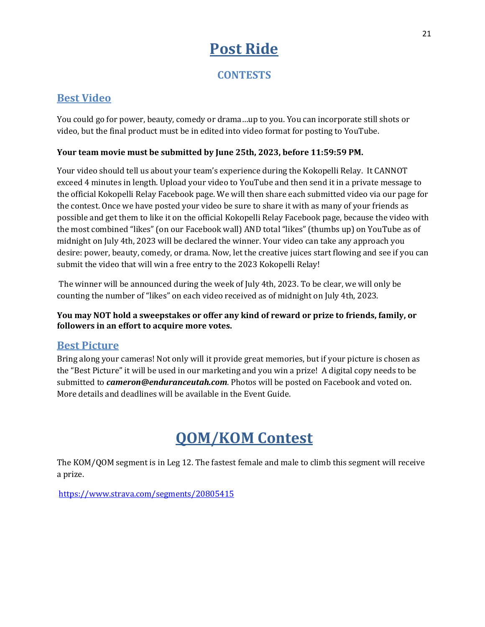## **Post Ride**

**CONTESTS**

### <span id="page-20-1"></span><span id="page-20-0"></span>**Best Video**

You could go for power, beauty, comedy or drama…up to you. You can incorporate still shots or video, but the final product must be in edited into video format for posting to YouTube.

#### **Your team movie must be submitted by June 25th, 2023, before 11:59:59 PM.**

Your video should tell us about your team's experience during the Kokopelli Relay. It CANNOT exceed 4 minutes in length. Upload your video to YouTube and then send it in a private message to the official Kokopelli Relay Facebook page. We will then share each submitted video via our page for the contest. Once we have posted your video be sure to share it with as many of your friends as possible and get them to like it on the official Kokopelli Relay Facebook page, because the video with the most combined "likes" (on our Facebook wall) AND total "likes" (thumbs up) on YouTube as of midnight on July 4th, 2023 will be declared the winner. Your video can take any approach you desire: power, beauty, comedy, or drama. Now, let the creative juices start flowing and see if you can submit the video that will win a free entry to the 2023 Kokopelli Relay!

The winner will be announced during the week of July 4th, 2023. To be clear, we will only be counting the number of "likes" on each video received as of midnight on July 4th, 2023.

#### **You may NOT hold a sweepstakes or offer any kind of reward or prize to friends, family, or followers in an effort to acquire more votes.**

### <span id="page-20-2"></span>**Best Picture**

Bring along your cameras! Not only will it provide great memories, but if your picture is chosen as the "Best Picture" it will be used in our marketing and you win a prize! A digital copy needs to be submitted to *cameron@enduranceutah.com*. Photos will be posted on Facebook and voted on. More details and deadlines will be available in the Event Guide.

### **QOM/KOM Contest**

The KOM/QOM segment is in Leg 12. The fastest female and male to climb this segment will receive a prize.

<span id="page-20-3"></span>[https://www.strava.com/segments/20805415](https://l.facebook.com/l.php?u=https%3A%2F%2Fwww.strava.com%2Fsegments%2F20805415%3Ffbclid%3DIwAR3byEI_W1NNt_FMpaSzhQ6bnw3p6nA-COsu-oZJf7BdhlIuW9ODVSusmZI&h=AT3Y9as_mesZTnzs5H66CgbiZq87mVWUlBbYGB8e25E1j32lqAjdSUsOgNL5uDj4daO-nwR_JWS6IA635ElxKAXmQLMmb50wOaEFRViQrs6RL2_VTxuBfBIiE4XBwA8DuA&__tn__=-UK-R&c%5b0%5d=AT3ZuwOnmhuJ43zKJhvFNf9UkNcJuJcDZ1SqwydEnYAsJz1u8QszmM8AFi-HgRNqW9F0vUoHkOeJfUk0jw0TE1bvt-u0jZ8z33hFvc38VC1Alw-qFlyt8vr9q1-zB79y0UE_xmOm-o2taaIZDdSbodiU0WZRC86U-zUDAKxgaTuLbjFonBrWnQkHZbwsj9NJMa2Ol3o)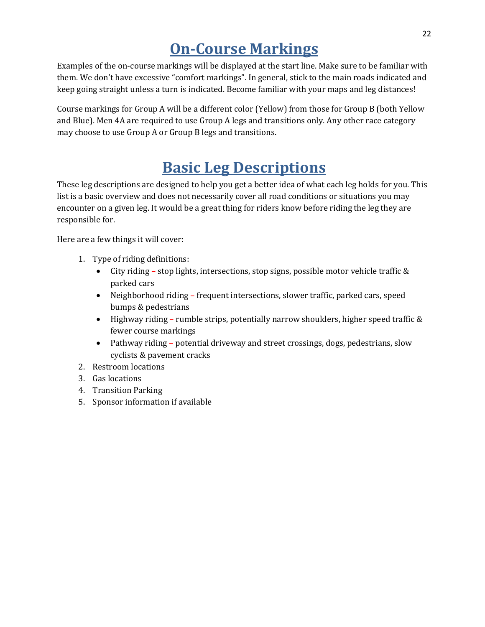### **On-Course Markings**

Examples of the on-course markings will be displayed at the start line. Make sure to be familiar with them. We don't have excessive "comfort markings". In general, stick to the main roads indicated and keep going straight unless a turn is indicated. Become familiar with your maps and leg distances!

Course markings for Group A will be a different color (Yellow) from those for Group B (both Yellow and Blue). Men 4A are required to use Group A legs and transitions only. Any other race category may choose to use Group A or Group B legs and transitions.

### **Basic Leg Descriptions**

<span id="page-21-0"></span>These leg descriptions are designed to help you get a better idea of what each leg holds for you. This list is a basic overview and does not necessarily cover all road conditions or situations you may encounter on a given leg. It would be a great thing for riders know before riding the leg they are responsible for.

Here are a few things it will cover:

- 1. Type of riding definitions:
	- City riding stop lights, intersections, stop signs, possible motor vehicle traffic  $\&$ parked cars
	- Neighborhood riding frequent intersections, slower traffic, parked cars, speed bumps & pedestrians
	- Highway riding rumble strips, potentially narrow shoulders, higher speed traffic & fewer course markings
	- Pathway riding potential driveway and street crossings, dogs, pedestrians, slow cyclists & pavement cracks
- 2. Restroom locations
- 3. Gas locations
- 4. Transition Parking
- 5. Sponsor information if available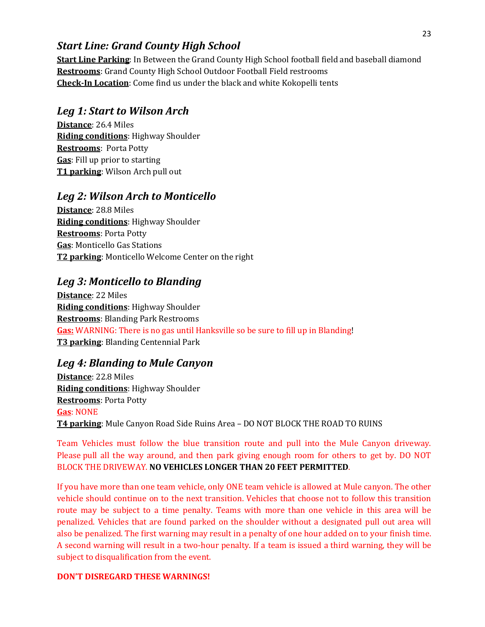### *Start Line: Grand County High School*

**Start Line Parking**: In Between the Grand County High School football field and baseball diamond **Restrooms**: Grand County High School Outdoor Football Field restrooms **Check-In Location**: Come find us under the black and white Kokopelli tents

### *Leg 1: Start to Wilson Arch*

**Distance**: 26.4 Miles **Riding conditions**: Highway Shoulder **Restrooms**: Porta Potty **Gas**: Fill up prior to starting **T1 parking**: Wilson Arch pull out

### *Leg 2: Wilson Arch to Monticello*

**Distance**: 28.8 Miles **Riding conditions**: Highway Shoulder **Restrooms**: Porta Potty **Gas**: Monticello Gas Stations **T2 parking**: Monticello Welcome Center on the right

### *Leg 3: Monticello to Blanding*

**Distance**: 22 Miles **Riding conditions**: Highway Shoulder **Restrooms**: Blanding Park Restrooms **Gas:** WARNING: There is no gas until Hanksville so be sure to fill up in Blanding! **T3 parking**: Blanding Centennial Park

### *Leg 4: Blanding to Mule Canyon*

**Distance**: 22.8 Miles **Riding conditions**: Highway Shoulder **Restrooms**: Porta Potty **Gas**: NONE **T4 parking**: Mule Canyon Road Side Ruins Area – DO NOT BLOCK THE ROAD TO RUINS

Team Vehicles must follow the blue transition route and pull into the Mule Canyon driveway. Please pull all the way around, and then park giving enough room for others to get by. DO NOT BLOCK THE DRIVEWAY. **NO VEHICLES LONGER THAN 20 FEET PERMITTED**.

If you have more than one team vehicle, only ONE team vehicle is allowed at Mule canyon. The other vehicle should continue on to the next transition. Vehicles that choose not to follow this transition route may be subject to a time penalty. Teams with more than one vehicle in this area will be penalized. Vehicles that are found parked on the shoulder without a designated pull out area will also be penalized. The first warning may result in a penalty of one hour added on to your finish time. A second warning will result in a two-hour penalty. If a team is issued a third warning, they will be subject to disqualification from the event.

#### **DON'T DISREGARD THESE WARNINGS!**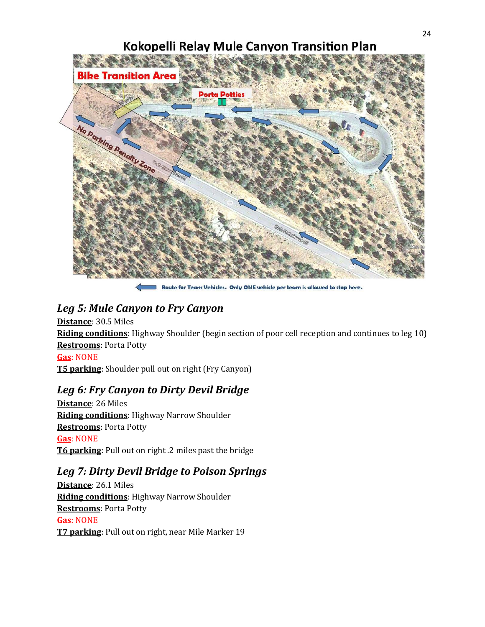# Kokopelli Relay Mule Canyon Transition Plan the hand of the company **Bike Transition A Porta Potties** No Darking Denotry 20

Route for Team Vehicles. Only ONE vehicle per team is allowed to stop here.

### *Leg 5: Mule Canyon to Fry Canyon*

**Distance**: 30.5 Miles **Riding conditions**: Highway Shoulder (begin section of poor cell reception and continues to leg 10) **Restrooms**: Porta Potty **Gas**: NONE

**T5 parking**: Shoulder pull out on right (Fry Canyon)

### *Leg 6: Fry Canyon to Dirty Devil Bridge*

**Distance**: 26 Miles **Riding conditions**: Highway Narrow Shoulder **Restrooms**: Porta Potty **Gas**: NONE **T6 parking**: Pull out on right .2 miles past the bridge

### *Leg 7: Dirty Devil Bridge to Poison Springs*

**Distance**: 26.1 Miles **Riding conditions**: Highway Narrow Shoulder **Restrooms**: Porta Potty **Gas**: NONE **T7 parking**: Pull out on right, near Mile Marker 19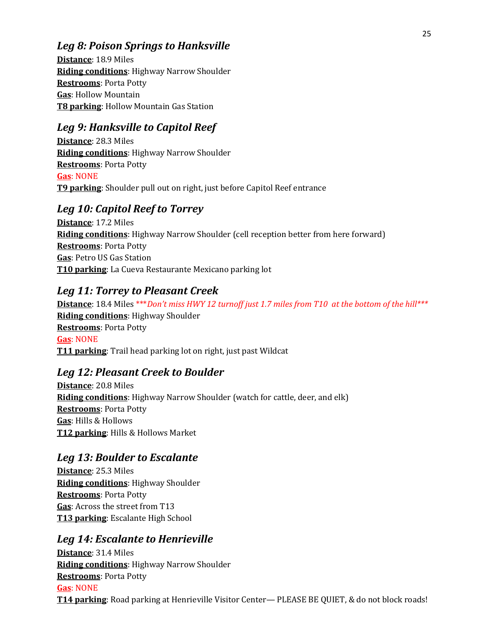### *Leg 8: Poison Springs to Hanksville*

**Distance**: 18.9 Miles **Riding conditions**: Highway Narrow Shoulder **Restrooms**: Porta Potty **Gas**: Hollow Mountain **T8 parking**: Hollow Mountain Gas Station

### *Leg 9: Hanksville to Capitol Reef*

**Distance**: 28.3 Miles **Riding conditions**: Highway Narrow Shoulder **Restrooms**: Porta Potty **Gas**: NONE **T9 parking**: Shoulder pull out on right, just before Capitol Reef entrance

### *Leg 10: Capitol Reef to Torrey*

**Distance**: 17.2 Miles **Riding conditions**: Highway Narrow Shoulder (cell reception better from here forward) **Restrooms**: Porta Potty **Gas**: Petro US Gas Station **T10 parking**: La Cueva Restaurante Mexicano parking lot

### *Leg 11: Torrey to Pleasant Creek*

**Distance**: 18.4 Miles \*\*\**Don't miss HWY 12 turnoff just 1.7 miles from T10 at the bottom of the hill\*\*\** **Riding conditions**: Highway Shoulder **Restrooms**: Porta Potty **Gas**: NONE **T11 parking**: Trail head parking lot on right, just past Wildcat

### *Leg 12: Pleasant Creek to Boulder*

**Distance**: 20.8 Miles **Riding conditions**: Highway Narrow Shoulder (watch for cattle, deer, and elk) **Restrooms**: Porta Potty **Gas**: Hills & Hollows **T12 parking**: Hills & Hollows Market

### *Leg 13: Boulder to Escalante*

**Distance**: 25.3 Miles **Riding conditions**: Highway Shoulder **Restrooms**: Porta Potty **Gas**: Across the street from T13 **T13 parking**: Escalante High School

### *Leg 14: Escalante to Henrieville*

**Distance**: 31.4 Miles **Riding conditions**: Highway Narrow Shoulder **Restrooms**: Porta Potty **Gas**: NONE **T14 parking**: Road parking at Henrieville Visitor Center— PLEASE BE QUIET, & do not block roads!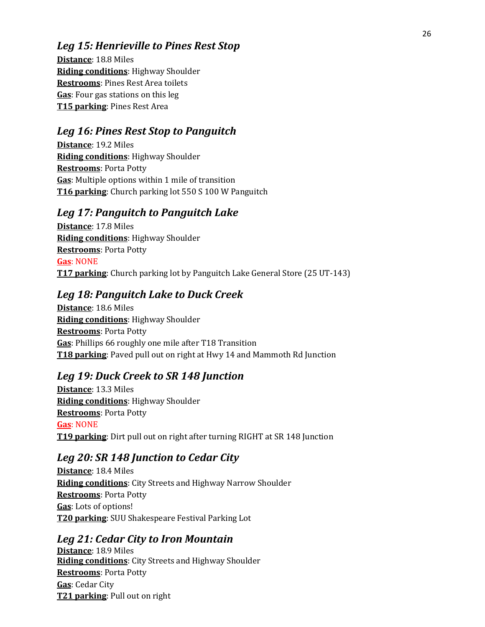### *Leg 15: Henrieville to Pines Rest Stop*

**Distance**: 18.8 Miles **Riding conditions**: Highway Shoulder **Restrooms**: Pines Rest Area toilets **Gas**: Four gas stations on this leg **T15 parking**: Pines Rest Area

### *Leg 16: Pines Rest Stop to Panguitch*

**Distance**: 19.2 Miles **Riding conditions**: Highway Shoulder **Restrooms**: Porta Potty **Gas**: Multiple options within 1 mile of transition **T16 parking**: Church parking lot 550 S 100 W Panguitch

### *Leg 17: Panguitch to Panguitch Lake*

**Distance**: 17.8 Miles **Riding conditions**: Highway Shoulder **Restrooms**: Porta Potty **Gas**: NONE **T17 parking**: Church parking lot by Panguitch Lake General Store (25 UT-143)

### *Leg 18: Panguitch Lake to Duck Creek*

**Distance**: 18.6 Miles **Riding conditions**: Highway Shoulder **Restrooms**: Porta Potty **Gas**: Phillips 66 roughly one mile after T18 Transition **T18 parking**: Paved pull out on right at Hwy 14 and Mammoth Rd Junction

### *Leg 19: Duck Creek to SR 148 Junction*

**Distance**: 13.3 Miles **Riding conditions**: Highway Shoulder **Restrooms**: Porta Potty **Gas**: NONE **T19 parking**: Dirt pull out on right after turning RIGHT at SR 148 Junction

### *Leg 20: SR 148 Junction to Cedar City*

**Distance**: 18.4 Miles **Riding conditions**: City Streets and Highway Narrow Shoulder **Restrooms**: Porta Potty **Gas**: Lots of options! **T20 parking**: SUU Shakespeare Festival Parking Lot

### *Leg 21: Cedar City to Iron Mountain*

**Distance**: 18.9 Miles **Riding conditions**: City Streets and Highway Shoulder **Restrooms**: Porta Potty **Gas**: Cedar City **T21 parking**: Pull out on right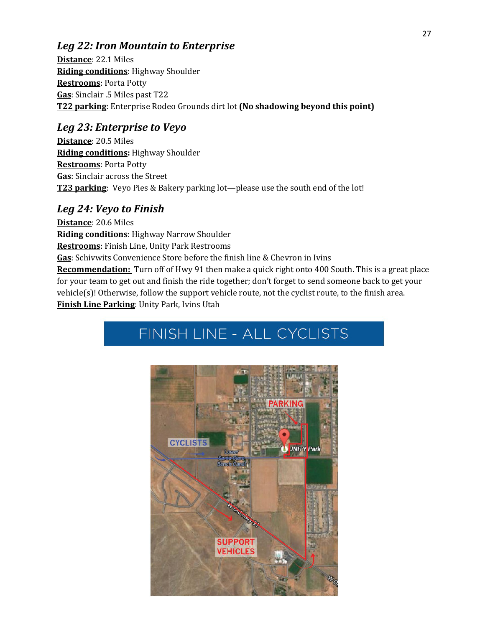### *Leg 22: Iron Mountain to Enterprise*

**Distance**: 22.1 Miles **Riding conditions**: Highway Shoulder **Restrooms**: Porta Potty **Gas**: Sinclair .5 Miles past T22 **T22 parking**: Enterprise Rodeo Grounds dirt lot **(No shadowing beyond this point)**

### *Leg 23: Enterprise to Veyo*

**Distance**: 20.5 Miles **Riding conditions:** Highway Shoulder **Restrooms**: Porta Potty **Gas**: Sinclair across the Street **T23 parking**: Veyo Pies & Bakery parking lot—please use the south end of the lot!

### *Leg 24: Veyo to Finish*

**Distance**: 20.6 Miles **Riding conditions**: Highway Narrow Shoulder **Restrooms**: Finish Line, Unity Park Restrooms **Gas**: Schivwits Convenience Store before the finish line & Chevron in Ivins **Recommendation:** Turn off of Hwy 91 then make a quick right onto 400 South. This is a great place for your team to get out and finish the ride together; don't forget to send someone back to get your vehicle(s)! Otherwise, follow the support vehicle route, not the cyclist route, to the finish area. **Finish Line Parking**: Unity Park, Ivins Utah

# <span id="page-26-0"></span>FINISH LINE - ALL CYCLISTS